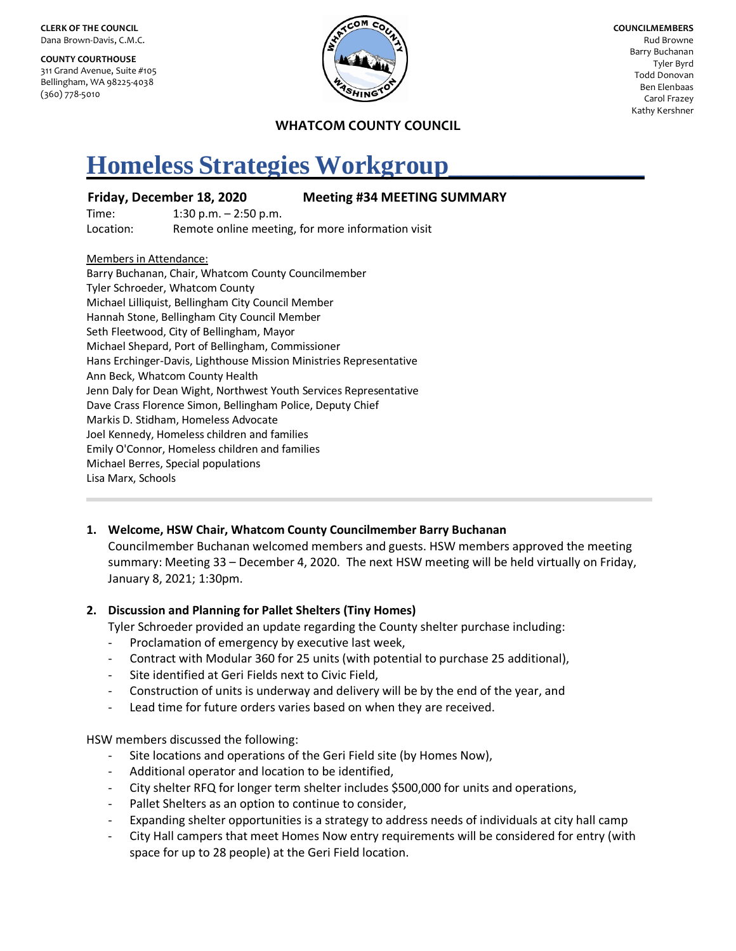**CLERK OF THE COUNCIL** Dana Brown-Davis, C.M.C.

**COUNTY COURTHOUSE** 311 Grand Avenue, Suite #105 Bellingham, WA 98225-4038 (360) 778-5010



**COUNCILMEMBERS** Rud Browne Barry Buchanan Tyler Byrd Todd Donovan Ben Elenbaas Carol Frazey Kathy Kershner

### **WHATCOM COUNTY COUNCIL**

# **Homeless Strategies Workgroup\_\_\_\_\_\_\_\_\_\_\_\_\_\_\_**

### **Friday, December 18, 2020 Meeting #34 MEETING SUMMARY**

Time: 1:30 p.m. – 2:50 p.m. Location: Remote online meeting, for more information visit

#### Members in Attendance:

Barry Buchanan, Chair, Whatcom County Councilmember Tyler Schroeder, Whatcom County Michael Lilliquist, Bellingham City Council Member Hannah Stone, Bellingham City Council Member Seth Fleetwood, City of Bellingham, Mayor Michael Shepard, Port of Bellingham, Commissioner Hans Erchinger-Davis, Lighthouse Mission Ministries Representative Ann Beck, Whatcom County Health Jenn Daly for Dean Wight, Northwest Youth Services Representative Dave Crass Florence Simon, Bellingham Police, Deputy Chief Markis D. Stidham, Homeless Advocate Joel Kennedy, Homeless children and families Emily O'Connor, Homeless children and families Michael Berres, Special populations Lisa Marx, Schools

#### **1. Welcome, HSW Chair, Whatcom County Councilmember Barry Buchanan**

Councilmember Buchanan welcomed members and guests. HSW members approved the meeting summary: Meeting 33 – December 4, 2020. The next HSW meeting will be held virtually on Friday, January 8, 2021; 1:30pm.

#### **2. Discussion and Planning for Pallet Shelters (Tiny Homes)**

Tyler Schroeder provided an update regarding the County shelter purchase including:

- Proclamation of emergency by executive last week,
- Contract with Modular 360 for 25 units (with potential to purchase 25 additional),
- Site identified at Geri Fields next to Civic Field,
- Construction of units is underway and delivery will be by the end of the year, and
- Lead time for future orders varies based on when they are received.

HSW members discussed the following:

- Site locations and operations of the Geri Field site (by Homes Now),
- Additional operator and location to be identified,
- City shelter RFQ for longer term shelter includes \$500,000 for units and operations,
- Pallet Shelters as an option to continue to consider,
- Expanding shelter opportunities is a strategy to address needs of individuals at city hall camp
- City Hall campers that meet Homes Now entry requirements will be considered for entry (with space for up to 28 people) at the Geri Field location.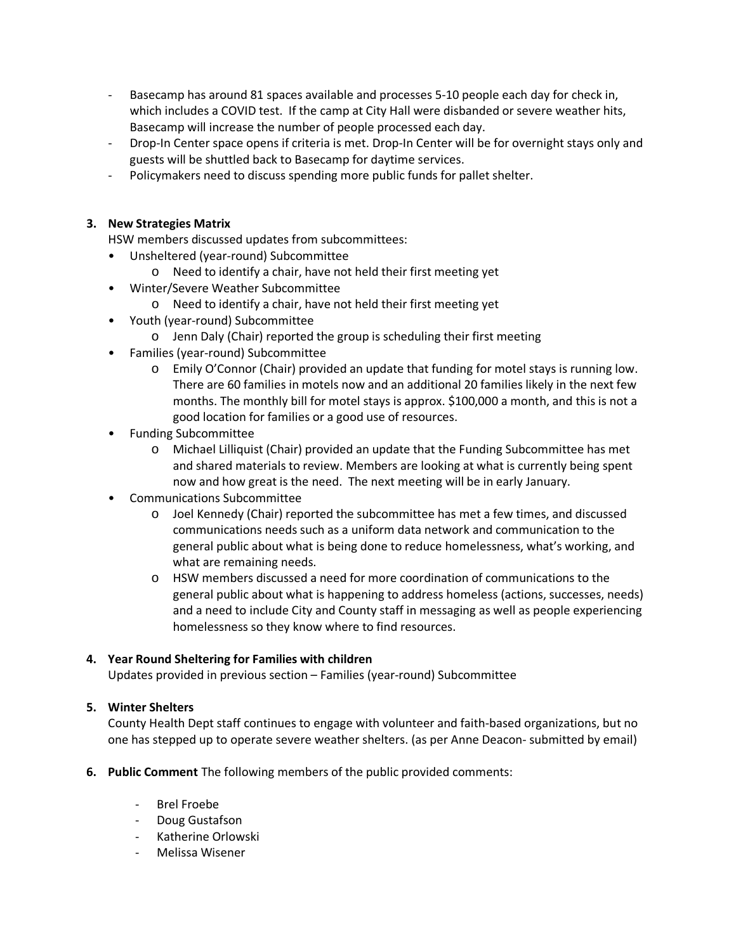- Basecamp has around 81 spaces available and processes 5-10 people each day for check in, which includes a COVID test. If the camp at City Hall were disbanded or severe weather hits, Basecamp will increase the number of people processed each day.
- Drop-In Center space opens if criteria is met. Drop-In Center will be for overnight stays only and guests will be shuttled back to Basecamp for daytime services.
- Policymakers need to discuss spending more public funds for pallet shelter.

## **3. New Strategies Matrix**

HSW members discussed updates from subcommittees:

- Unsheltered (year-round) Subcommittee
	- o Need to identify a chair, have not held their first meeting yet
- Winter/Severe Weather Subcommittee
	- o Need to identify a chair, have not held their first meeting yet
- Youth (year-round) Subcommittee
	- o Jenn Daly (Chair) reported the group is scheduling their first meeting
- Families (year-round) Subcommittee
	- o Emily O'Connor (Chair) provided an update that funding for motel stays is running low. There are 60 families in motels now and an additional 20 families likely in the next few months. The monthly bill for motel stays is approx. \$100,000 a month, and this is not a good location for families or a good use of resources.
- Funding Subcommittee
	- o Michael Lilliquist (Chair) provided an update that the Funding Subcommittee has met and shared materials to review. Members are looking at what is currently being spent now and how great is the need. The next meeting will be in early January.
- Communications Subcommittee
	- o Joel Kennedy (Chair) reported the subcommittee has met a few times, and discussed communications needs such as a uniform data network and communication to the general public about what is being done to reduce homelessness, what's working, and what are remaining needs.
	- o HSW members discussed a need for more coordination of communications to the general public about what is happening to address homeless (actions, successes, needs) and a need to include City and County staff in messaging as well as people experiencing homelessness so they know where to find resources.

#### **4. Year Round Sheltering for Families with children**

Updates provided in previous section – Families (year-round) Subcommittee

#### **5. Winter Shelters**

County Health Dept staff continues to engage with volunteer and faith-based organizations, but no one has stepped up to operate severe weather shelters. (as per Anne Deacon- submitted by email)

- **6. Public Comment** The following members of the public provided comments:
	- Brel Froebe
	- Doug Gustafson
	- Katherine Orlowski
	- Melissa Wisener